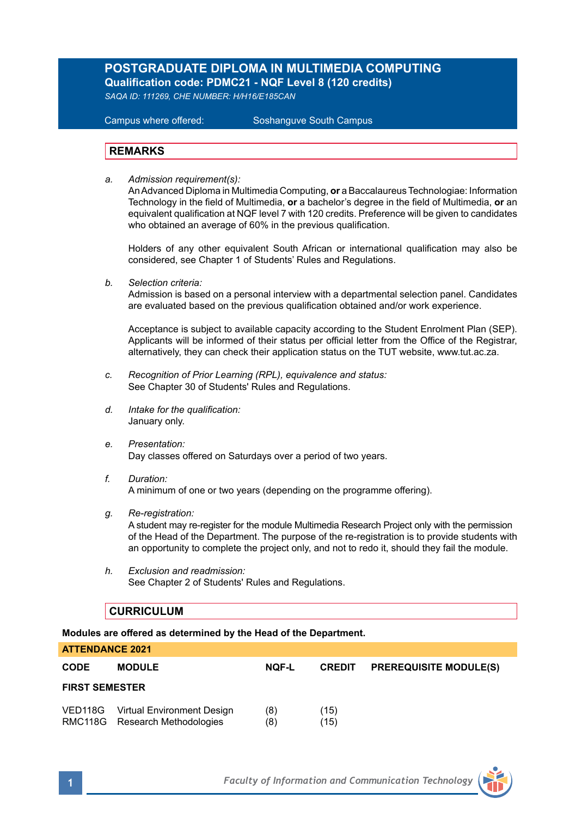# **POSTGRADUATE DIPLOMA IN MULTIMEDIA COMPUTING Qualification code: PDMC21 - NQF Level 8 (120 credits)**

*SAQA ID: 111269, CHE NUMBER: H/H16/E185CAN* 

**Campus where offered:** 

Soshanguve South Campus

### **REMARKS**

*a. Admission requirement(s):* 

An Advanced Diploma in Multimedia Computing, **or** a Baccalaureus Technologiae: Information Technology in the field of Multimedia, **or** a bachelor's degree in the field of Multimedia, **or** an equivalent qualification at NQF level 7 with 120 credits. Preference will be given to candidates who obtained an average of 60% in the previous qualification.

Holders of any other equivalent South African or international qualification may also be considered, see Chapter 1 of Students' Rules and Regulations.

*b. Selection criteria:*

Admission is based on a personal interview with a departmental selection panel. Candidates are evaluated based on the previous qualification obtained and/or work experience.

Acceptance is subject to available capacity according to the Student Enrolment Plan (SEP). Applicants will be informed of their status per official letter from the Office of the Registrar, alternatively, they can check their application status on the TUT website, www.tut.ac.za.

- *c. Recognition of Prior Learning (RPL), equivalence and status:* See Chapter 30 of Students' Rules and Regulations.
- *d. Intake for the qualification:* January only.
- *e. Presentation:* Day classes offered on Saturdays over a period of two years.
- *f. Duration:* A minimum of one or two years (depending on the programme offering).
- *g. Re-registration:*

A student may re-register for the module Multimedia Research Project only with the permission of the Head of the Department. The purpose of the re-registration is to provide students with an opportunity to complete the project only, and not to redo it, should they fail the module.

*h. Exclusion and readmission:* See Chapter 2 of Students' Rules and Regulations.

## **CURRICULUM**

**ATTENDANCE 2021**

**Modules are offered as determined by the Head of the Department.**

| ATTENDANGE 2021       |                                                                      |              |               |                               |
|-----------------------|----------------------------------------------------------------------|--------------|---------------|-------------------------------|
| <b>CODE</b>           | <b>MODULE</b>                                                        | <b>NOF-L</b> | <b>CREDIT</b> | <b>PREREQUISITE MODULE(S)</b> |
| <b>FIRST SEMESTER</b> |                                                                      |              |               |                               |
|                       | VED118G Virtual Environment Design<br>RMC118G Research Methodologies | (8)<br>(8)   | (15)<br>(15)  |                               |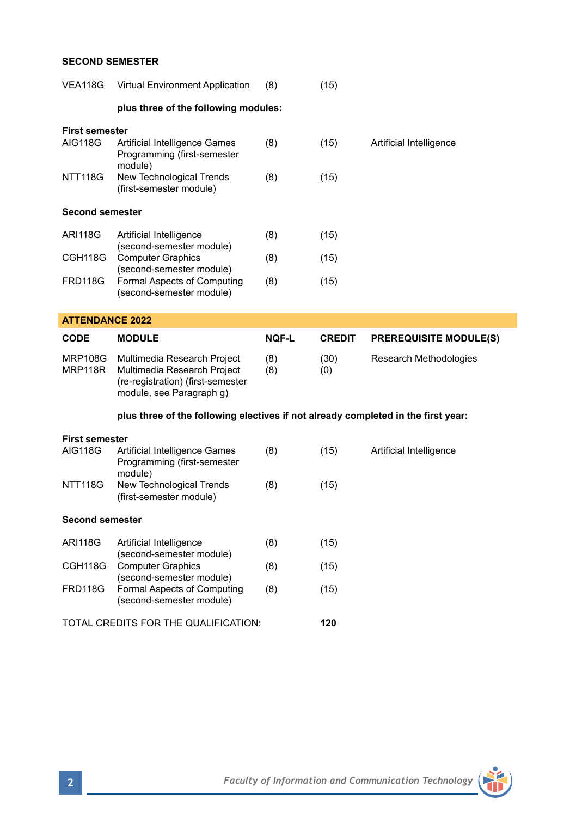## **SECOND SEMESTER**

| <b>VEA118G</b>                          | <b>Virtual Environment Application</b>                                                                                                                                 | (8)          | (15)          |                               |  |  |  |
|-----------------------------------------|------------------------------------------------------------------------------------------------------------------------------------------------------------------------|--------------|---------------|-------------------------------|--|--|--|
|                                         | plus three of the following modules:                                                                                                                                   |              |               |                               |  |  |  |
| First semester                          |                                                                                                                                                                        |              |               |                               |  |  |  |
| <b>AIG118G</b>                          | Artificial Intelligence Games<br>Programming (first-semester<br>module)                                                                                                | (8)          | (15)          | Artificial Intelligence       |  |  |  |
| NTT118G                                 | New Technological Trends<br>(first-semester module)                                                                                                                    | (8)          | (15)          |                               |  |  |  |
| <b>Second semester</b>                  |                                                                                                                                                                        |              |               |                               |  |  |  |
| <b>ARI118G</b>                          | Artificial Intelligence<br>(second-semester module)<br><b>Computer Graphics</b><br>(second-semester module)<br>Formal Aspects of Computing<br>(second-semester module) | (8)          | (15)          |                               |  |  |  |
| CGH118G                                 |                                                                                                                                                                        | (8)          | (15)          |                               |  |  |  |
| FRD118G                                 |                                                                                                                                                                        | (8)          | (15)          |                               |  |  |  |
| <b>ATTENDANCE 2022</b>                  |                                                                                                                                                                        |              |               |                               |  |  |  |
| <b>CODE</b>                             | <b>MODULE</b>                                                                                                                                                          | <b>NOF-L</b> | <b>CREDIT</b> | <b>PREREQUISITE MODULE(S)</b> |  |  |  |
|                                         |                                                                                                                                                                        |              |               |                               |  |  |  |
| <b>MRP108G</b><br>MRP118R               | Multimedia Research Project<br>Multimedia Research Project<br>(re-registration) (first-semester<br>module, see Paragraph g)                                            | (8)<br>(8)   | (30)<br>(0)   | Research Methodologies        |  |  |  |
|                                         | plus three of the following electives if not already completed in the first year:                                                                                      |              |               |                               |  |  |  |
|                                         |                                                                                                                                                                        |              |               |                               |  |  |  |
| <b>First semester</b><br><b>AIG118G</b> | Artificial Intelligence Games<br>Programming (first-semester<br>module)                                                                                                | (8)          | (15)          | Artificial Intelligence       |  |  |  |
| NTT118G                                 | New Technological Trends<br>(first-semester module)                                                                                                                    | (8)          | (15)          |                               |  |  |  |
| <b>Second semester</b>                  |                                                                                                                                                                        |              |               |                               |  |  |  |
| <b>ARI118G</b>                          | Artificial Intelligence                                                                                                                                                | (8)          | (15)          |                               |  |  |  |
| CGH118G                                 | (second-semester module)<br><b>Computer Graphics</b>                                                                                                                   | (8)          | (15)          |                               |  |  |  |
| FRD118G                                 | (second-semester module)<br>Formal Aspects of Computing<br>(second-semester module)                                                                                    | (8)          | (15)          |                               |  |  |  |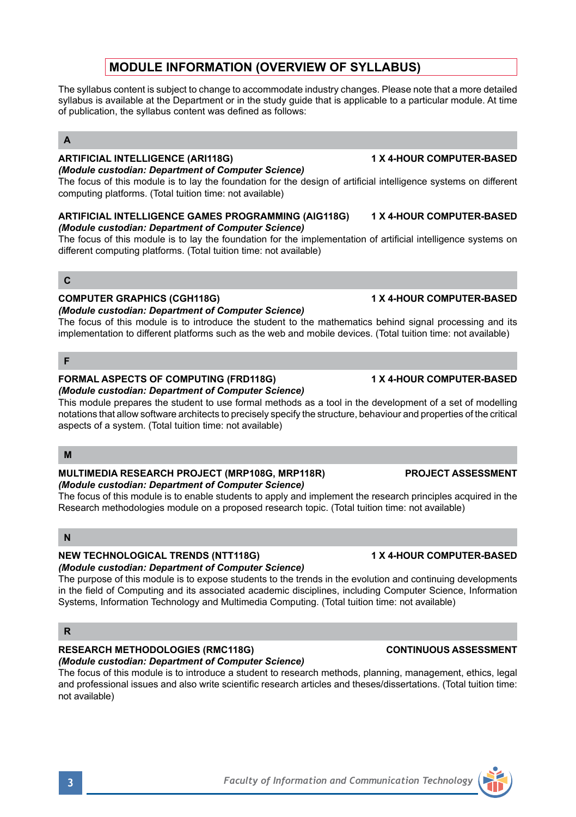# **MODULE INFORMATION (OVERVIEW OF SYLLABUS)**

The syllabus content is subject to change to accommodate industry changes. Please note that a more detailed syllabus is available at the Department or in the study guide that is applicable to a particular module. At time of publication, the syllabus content was defined as follows:

## **A**

## **ARTIFICIAL INTELLIGENCE (ARI118G) 1 X 4-HOUR COMPUTER-BASED**

*(Module custodian: Department of Computer Science)* The focus of this module is to lay the foundation for the design of artificial intelligence systems on different computing platforms. (Total tuition time: not available)

### **ARTIFICIAL INTELLIGENCE GAMES PROGRAMMING (AIG118G) 1 X 4-HOUR COMPUTER-BASED** *(Module custodian: Department of Computer Science)*

The focus of this module is to lay the foundation for the implementation of artificial intelligence systems on different computing platforms. (Total tuition time: not available)

## **C**

### **COMPUTER GRAPHICS (CGH118G) 1 X 4-HOUR COMPUTER-BASED**

### *(Module custodian: Department of Computer Science)*

The focus of this module is to introduce the student to the mathematics behind signal processing and its implementation to different platforms such as the web and mobile devices. (Total tuition time: not available)

## **F**

### **FORMAL ASPECTS OF COMPUTING (FRD118G) 1 X 4-HOUR COMPUTER-BASED** *(Module custodian: Department of Computer Science)*

This module prepares the student to use formal methods as a tool in the development of a set of modelling notations that allow software architects to precisely specify the structure, behaviour and properties of the critical aspects of a system. (Total tuition time: not available)

### **M**

### **MULTIMEDIA RESEARCH PROJECT (MRP108G, MRP118R) PROJECT ASSESSMENT** *(Module custodian: Department of Computer Science)*

The focus of this module is to enable students to apply and implement the research principles acquired in the Research methodologies module on a proposed research topic. (Total tuition time: not available)

## **N**

## **NEW TECHNOLOGICAL TRENDS (NTT118G) 1 X 4-HOUR COMPUTER-BASED**

## *(Module custodian: Department of Computer Science)*

The purpose of this module is to expose students to the trends in the evolution and continuing developments in the field of Computing and its associated academic disciplines, including Computer Science, Information Systems, Information Technology and Multimedia Computing. (Total tuition time: not available)

### **R**

# **RESEARCH METHODOLOGIES (RMC118G) CONTINUOUS ASSESSMENT**

*(Module custodian: Department of Computer Science)* The focus of this module is to introduce a student to research methods, planning, management, ethics, legal and professional issues and also write scientific research articles and theses/dissertations. (Total tuition time: not available)